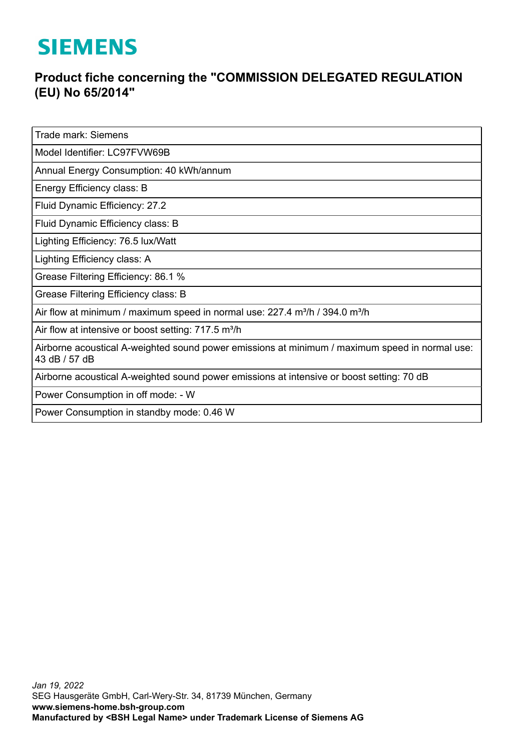## **SIEMENS**

## **Product fiche concerning the "COMMISSION DELEGATED REGULATION (EU) No 65/2014"**

Trade mark: Siemens

Model Identifier: LC97FVW69B

Annual Energy Consumption: 40 kWh/annum

Energy Efficiency class: B

Fluid Dynamic Efficiency: 27.2

Fluid Dynamic Efficiency class: B

Lighting Efficiency: 76.5 lux/Watt

Lighting Efficiency class: A

Grease Filtering Efficiency: 86.1 %

Grease Filtering Efficiency class: B

Air flow at minimum / maximum speed in normal use:  $227.4$  m $\frac{3}{10}$  / 394.0 m $\frac{3}{10}$ 

Air flow at intensive or boost setting: 717.5 m<sup>3</sup>/h

Airborne acoustical A-weighted sound power emissions at minimum / maximum speed in normal use: 43 dB / 57 dB

Airborne acoustical A-weighted sound power emissions at intensive or boost setting: 70 dB

Power Consumption in off mode: - W

Power Consumption in standby mode: 0.46 W